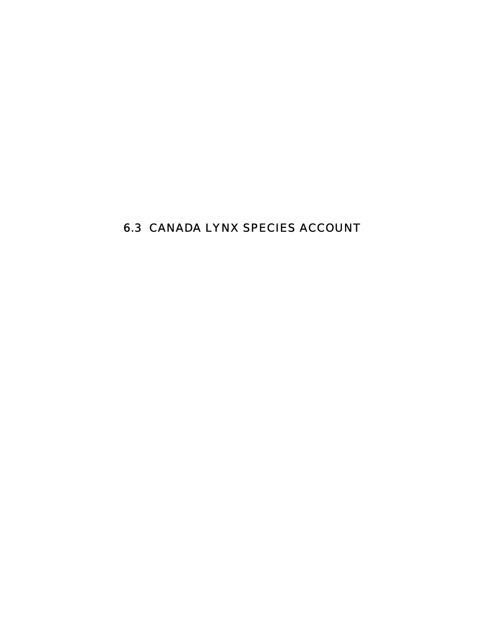# 6.3 CANADA LYNX SPECIES ACCOUNT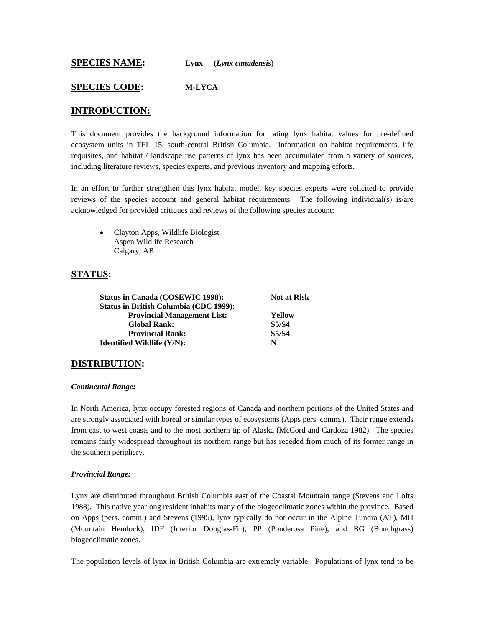**SPECIES NAME: Lynx** (*Lynx canadensis*)

#### **SPECIES CODE: M-LYCA**

#### **INTRODUCTION:**

This document provides the background information for rating lynx habitat values for pre-defined ecosystem units in TFL 15, south-central British Columbia. Information on habitat requirements, life requisites, and habitat / landscape use patterns of lynx has been accumulated from a variety of sources, including literature reviews, species experts, and previous inventory and mapping efforts.

In an effort to further strengthen this lynx habitat model, key species experts were solicited to provide reviews of the species account and general habitat requirements. The following individual(s) is/are acknowledged for provided critiques and reviews of the following species account:

• Clayton Apps, Wildlife Biologist Aspen Wildlife Research Calgary, AB

#### **STATUS:**

| <b>Status in Canada (COSEWIC 1998):</b>       | <b>Not at Risk</b> |  |
|-----------------------------------------------|--------------------|--|
| <b>Status in British Columbia (CDC 1999):</b> |                    |  |
| <b>Provincial Management List:</b>            | Yellow             |  |
| <b>Global Rank:</b>                           | <b>S5/S4</b>       |  |
| <b>Provincial Rank:</b>                       | <b>S5/S4</b>       |  |
| <b>Identified Wildlife (Y/N):</b>             | N                  |  |

#### **DISTRIBUTION:**

#### *Continental Range:*

In North America, lynx occupy forested regions of Canada and northern portions of the United States and are strongly associated with boreal or similar types of ecosystems (Apps pers. comm.). Their range extends from east to west coasts and to the most northern tip of Alaska (McCord and Cardoza 1982). The species remains fairly widespread throughout its northern range but has receded from much of its former range in the southern periphery.

#### *Provincial Range:*

Lynx are distributed throughout British Columbia east of the Coastal Mountain range (Stevens and Lofts 1988). This native yearlong resident inhabits many of the biogeoclimatic zones within the province. Based on Apps (pers. comm.) and Stevens (1995), lynx typically do not occur in the Alpine Tundra (AT), MH (Mountain Hemlock), IDF (Interior Douglas-Fir), PP (Ponderosa Pine), and BG (Bunchgrass) biogeoclimatic zones.

The population levels of lynx in British Columbia are extremely variable. Populations of lynx tend to be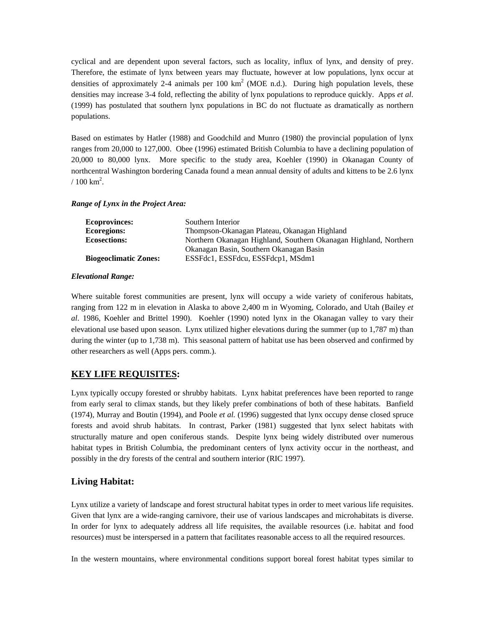cyclical and are dependent upon several factors, such as locality, influx of lynx, and density of prey. Therefore, the estimate of lynx between years may fluctuate, however at low populations, lynx occur at densities of approximately 2-4 animals per 100  $km^2$  (MOE n.d.). During high population levels, these densities may increase 3-4 fold, reflecting the ability of lynx populations to reproduce quickly. Apps *et al*. (1999) has postulated that southern lynx populations in BC do not fluctuate as dramatically as northern populations.

Based on estimates by Hatler (1988) and Goodchild and Munro (1980) the provincial population of lynx ranges from 20,000 to 127,000. Obee (1996) estimated British Columbia to have a declining population of 20,000 to 80,000 lynx. More specific to the study area, Koehler (1990) in Okanagan County of northcentral Washington bordering Canada found a mean annual density of adults and kittens to be 2.6 lynx  $/ 100 \text{ km}^2$ .

#### *Range of Lynx in the Project Area:*

| <b>Ecoprovinces:</b>         | Southern Interior                                                |
|------------------------------|------------------------------------------------------------------|
| <b>Ecoregions:</b>           | Thompson-Okanagan Plateau, Okanagan Highland                     |
| <b>Ecosections:</b>          | Northern Okanagan Highland, Southern Okanagan Highland, Northern |
|                              | Okanagan Basin, Southern Okanagan Basin                          |
| <b>Biogeoclimatic Zones:</b> | ESSFdc1, ESSFdcu, ESSFdcp1, MSdm1                                |

#### *Elevational Range:*

Where suitable forest communities are present, lynx will occupy a wide variety of coniferous habitats, ranging from 122 m in elevation in Alaska to above 2,400 m in Wyoming, Colorado, and Utah (Bailey *et al*. 1986, Koehler and Brittel 1990). Koehler (1990) noted lynx in the Okanagan valley to vary their elevational use based upon season. Lynx utilized higher elevations during the summer (up to 1,787 m) than during the winter (up to 1,738 m). This seasonal pattern of habitat use has been observed and confirmed by other researchers as well (Apps pers. comm.).

## **KEY LIFE REQUISITES:**

Lynx typically occupy forested or shrubby habitats. Lynx habitat preferences have been reported to range from early seral to climax stands, but they likely prefer combinations of both of these habitats. Banfield (1974), Murray and Boutin (1994), and Poole *et al.* (1996) suggested that lynx occupy dense closed spruce forests and avoid shrub habitats. In contrast, Parker (1981) suggested that lynx select habitats with structurally mature and open coniferous stands. Despite lynx being widely distributed over numerous habitat types in British Columbia, the predominant centers of lynx activity occur in the northeast, and possibly in the dry forests of the central and southern interior (RIC 1997).

## **Living Habitat:**

Lynx utilize a variety of landscape and forest structural habitat types in order to meet various life requisites. Given that lynx are a wide-ranging carnivore, their use of various landscapes and microhabitats is diverse. In order for lynx to adequately address all life requisites, the available resources (i.e. habitat and food resources) must be interspersed in a pattern that facilitates reasonable access to all the required resources.

In the western mountains, where environmental conditions support boreal forest habitat types similar to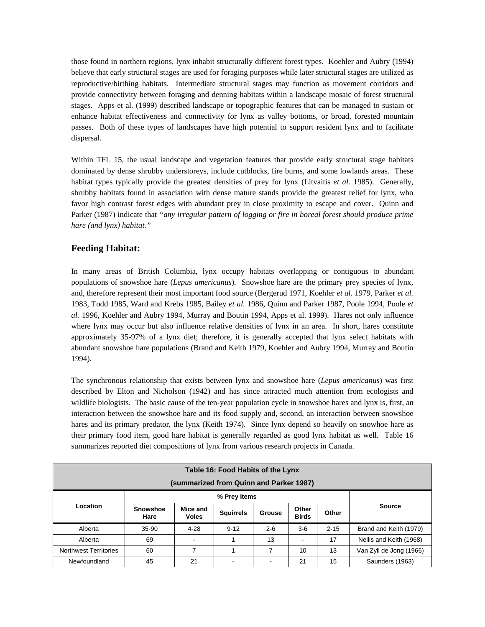those found in northern regions, lynx inhabit structurally different forest types. Koehler and Aubry (1994) believe that early structural stages are used for foraging purposes while later structural stages are utilized as reproductive/birthing habitats. Intermediate structural stages may function as movement corridors and provide connectivity between foraging and denning habitats within a landscape mosaic of forest structural stages. Apps et al. (1999) described landscape or topographic features that can be managed to sustain or enhance habitat effectiveness and connectivity for lynx as valley bottoms, or broad, forested mountain passes. Both of these types of landscapes have high potential to support resident lynx and to facilitate dispersal.

Within TFL 15, the usual landscape and vegetation features that provide early structural stage habitats dominated by dense shrubby understoreys, include cutblocks, fire burns, and some lowlands areas. These habitat types typically provide the greatest densities of prey for lynx (Litvaitis *et al.* 1985). Generally, shrubby habitats found in association with dense mature stands provide the greatest relief for lynx, who favor high contrast forest edges with abundant prey in close proximity to escape and cover. Quinn and Parker (1987) indicate that *"any irregular pattern of logging or fire in boreal forest should produce prime hare (and lynx) habitat."*

# **Feeding Habitat:**

In many areas of British Columbia, lynx occupy habitats overlapping or contiguous to abundant populations of snowshoe hare (*Lepus americanus*). Snowshoe hare are the primary prey species of lynx, and, therefore represent their most important food source (Bergerud 1971, Koehler *et al.* 1979, Parker *et al.* 1983, Todd 1985, Ward and Krebs 1985, Bailey *et al.* 1986, Quinn and Parker 1987, Poole 1994, Poole *et al.* 1996, Koehler and Aubry 1994, Murray and Boutin 1994, Apps et al. 1999). Hares not only influence where lynx may occur but also influence relative densities of lynx in an area. In short, hares constitute approximately 35-97% of a lynx diet; therefore, it is generally accepted that lynx select habitats with abundant snowshoe hare populations (Brand and Keith 1979, Koehler and Aubry 1994, Murray and Boutin 1994).

The synchronous relationship that exists between lynx and snowshoe hare (*Lepus americanus*) was first described by Elton and Nicholson (1942) and has since attracted much attention from ecologists and wildlife biologists. The basic cause of the ten-year population cycle in snowshoe hares and lynx is, first, an interaction between the snowshoe hare and its food supply and, second, an interaction between snowshoe hares and its primary predator, the lynx (Keith 1974). Since lynx depend so heavily on snowhoe hare as their primary food item, good hare habitat is generally regarded as good lynx habitat as well. Table 16 summarizes reported diet compositions of lynx from various research projects in Canada.

| Table 16: Food Habits of the Lynx<br>(summarized from Quinn and Parker 1987) |                         |                          |                  |         |                          |          |                         |
|------------------------------------------------------------------------------|-------------------------|--------------------------|------------------|---------|--------------------------|----------|-------------------------|
| % Prey Items                                                                 |                         |                          |                  |         |                          |          |                         |
| Location                                                                     | <b>Snowshoe</b><br>Hare | Mice and<br><b>Voles</b> | <b>Squirrels</b> | Grouse  | Other<br><b>Birds</b>    | Other    | <b>Source</b>           |
| Alberta                                                                      | 35-90                   | $4 - 28$                 | $9 - 12$         | $2 - 6$ | $3-6$                    | $2 - 15$ | Brand and Keith (1979)  |
| Alberta                                                                      | 69                      |                          |                  | 13      | $\overline{\phantom{a}}$ | 17       | Nellis and Keith (1968) |
| <b>Northwest Territories</b>                                                 | 60                      | 7                        |                  | 7       | 10                       | 13       | Van Zyll de Jong (1966) |
| Newfoundland                                                                 | 45                      | 21                       |                  |         | 21                       | 15       | Saunders (1963)         |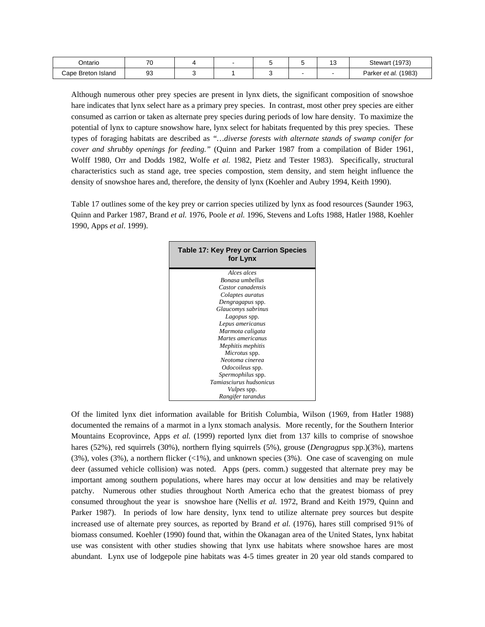| )ntario            | $\overline{z}$ |  |  | ◡ | (1973)<br>Stewart          |
|--------------------|----------------|--|--|---|----------------------------|
| Cape Breton Island | n o<br>ч<br>ວບ |  |  |   | (1983)<br>Parker<br>et al. |

Although numerous other prey species are present in lynx diets, the significant composition of snowshoe hare indicates that lynx select hare as a primary prey species. In contrast, most other prey species are either consumed as carrion or taken as alternate prey species during periods of low hare density. To maximize the potential of lynx to capture snowshow hare, lynx select for habitats frequented by this prey species. These types of foraging habitats are described as *"…diverse forests with alternate stands of swamp conifer for cover and shrubby openings for feeding."* (Quinn and Parker 1987 from a compilation of Bider 1961, Wolff 1980, Orr and Dodds 1982, Wolfe *et al.* 1982, Pietz and Tester 1983). Specifically, structural characteristics such as stand age, tree species compostion, stem density, and stem height influence the density of snowshoe hares and, therefore, the density of lynx (Koehler and Aubry 1994, Keith 1990).

Table 17 outlines some of the key prey or carrion species utilized by lynx as food resources (Saunder 1963, Quinn and Parker 1987, Brand *et al.* 1976, Poole *et al.* 1996, Stevens and Lofts 1988, Hatler 1988, Koehler 1990, Apps *et al*. 1999).

| <b>Table 17: Key Prey or Carrion Species</b><br>for Lynx |
|----------------------------------------------------------|
| Alces alces                                              |
| Bonasa umbellus                                          |
| Castor canadensis                                        |
| Colaptes auratus                                         |
| Dengragapus spp.                                         |
| Glaucomys sabrinus                                       |
| Lagopus spp.                                             |
| Lepus americanus                                         |
| Marmota caligata                                         |
| Martes americanus                                        |
| Mephitis mephitis                                        |
| Microtus spp.                                            |
| Neotoma cinerea                                          |
| <i>Odocoileus</i> spp.                                   |
| <i>Spermophilus</i> spp.                                 |
| Tamiasciurus hudsonicus                                  |
| <i>Vulpes</i> spp.                                       |
| Rangifer tarandus                                        |

Of the limited lynx diet information available for British Columbia, Wilson (1969, from Hatler 1988) documented the remains of a marmot in a lynx stomach analysis. More recently, for the Southern Interior Mountains Ecoprovince, Apps *et al.* (1999) reported lynx diet from 137 kills to comprise of snowshoe hares (52%), red squirrels (30%), northern flying squirrels (5%), grouse (*Dengragpus* spp.)(3%), martens (3%), voles (3%), a northern flicker (<1%), and unknown species (3%). One case of scavenging on mule deer (assumed vehicle collision) was noted. Apps (pers. comm.) suggested that alternate prey may be important among southern populations, where hares may occur at low densities and may be relatively patchy. Numerous other studies throughout North America echo that the greatest biomass of prey consumed throughout the year is snowshoe hare (Nellis *et al.* 1972, Brand and Keith 1979, Quinn and Parker 1987). In periods of low hare density, lynx tend to utilize alternate prey sources but despite increased use of alternate prey sources, as reported by Brand *et al.* (1976), hares still comprised 91% of biomass consumed. Koehler (1990) found that, within the Okanagan area of the United States, lynx habitat use was consistent with other studies showing that lynx use habitats where snowshoe hares are most abundant. Lynx use of lodgepole pine habitats was 4-5 times greater in 20 year old stands compared to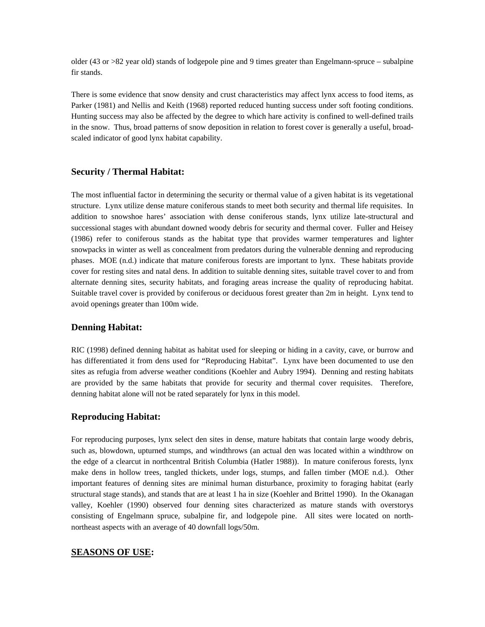older (43 or >82 year old) stands of lodgepole pine and 9 times greater than Engelmann-spruce – subalpine fir stands.

There is some evidence that snow density and crust characteristics may affect lynx access to food items, as Parker (1981) and Nellis and Keith (1968) reported reduced hunting success under soft footing conditions. Hunting success may also be affected by the degree to which hare activity is confined to well-defined trails in the snow. Thus, broad patterns of snow deposition in relation to forest cover is generally a useful, broadscaled indicator of good lynx habitat capability.

## **Security / Thermal Habitat:**

The most influential factor in determining the security or thermal value of a given habitat is its vegetational structure. Lynx utilize dense mature coniferous stands to meet both security and thermal life requisites. In addition to snowshoe hares' association with dense coniferous stands, lynx utilize late-structural and successional stages with abundant downed woody debris for security and thermal cover. Fuller and Heisey (1986) refer to coniferous stands as the habitat type that provides warmer temperatures and lighter snowpacks in winter as well as concealment from predators during the vulnerable denning and reproducing phases. MOE (n.d.) indicate that mature coniferous forests are important to lynx. These habitats provide cover for resting sites and natal dens. In addition to suitable denning sites, suitable travel cover to and from alternate denning sites, security habitats, and foraging areas increase the quality of reproducing habitat. Suitable travel cover is provided by coniferous or deciduous forest greater than 2m in height. Lynx tend to avoid openings greater than 100m wide.

## **Denning Habitat:**

RIC (1998) defined denning habitat as habitat used for sleeping or hiding in a cavity, cave, or burrow and has differentiated it from dens used for "Reproducing Habitat". Lynx have been documented to use den sites as refugia from adverse weather conditions (Koehler and Aubry 1994). Denning and resting habitats are provided by the same habitats that provide for security and thermal cover requisites. Therefore, denning habitat alone will not be rated separately for lynx in this model.

## **Reproducing Habitat:**

For reproducing purposes, lynx select den sites in dense, mature habitats that contain large woody debris, such as, blowdown, upturned stumps, and windthrows (an actual den was located within a windthrow on the edge of a clearcut in northcentral British Columbia (Hatler 1988)). In mature coniferous forests, lynx make dens in hollow trees, tangled thickets, under logs, stumps, and fallen timber (MOE n.d.). Other important features of denning sites are minimal human disturbance, proximity to foraging habitat (early structural stage stands), and stands that are at least 1 ha in size (Koehler and Brittel 1990). In the Okanagan valley, Koehler (1990) observed four denning sites characterized as mature stands with overstorys consisting of Engelmann spruce, subalpine fir, and lodgepole pine. All sites were located on northnortheast aspects with an average of 40 downfall logs/50m.

## **SEASONS OF USE:**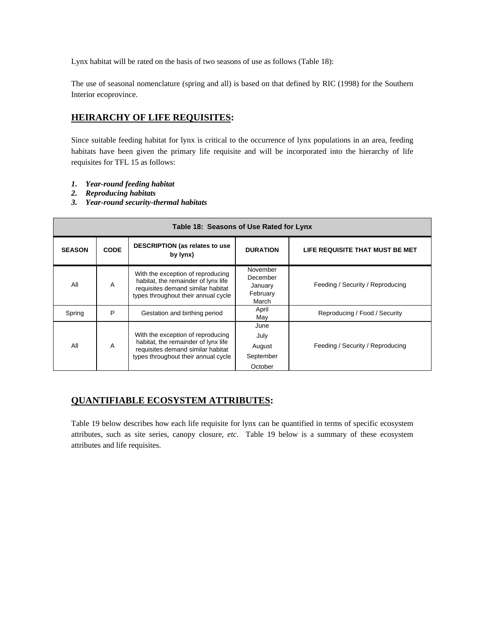Lynx habitat will be rated on the basis of two seasons of use as follows (Table 18):

The use of seasonal nomenclature (spring and all) is based on that defined by RIC (1998) for the Southern Interior ecoprovince.

# **HEIRARCHY OF LIFE REQUISITES:**

Since suitable feeding habitat for lynx is critical to the occurrence of lynx populations in an area, feeding habitats have been given the primary life requisite and will be incorporated into the hierarchy of life requisites for TFL 15 as follows:

- *1. Year-round feeding habitat*
- *2. Reproducing habitats*
- *3. Year-round security-thermal habitats*

| Table 18: Seasons of Use Rated for Lynx |             |                                                                                                                                                      |                                                      |                                  |  |
|-----------------------------------------|-------------|------------------------------------------------------------------------------------------------------------------------------------------------------|------------------------------------------------------|----------------------------------|--|
| <b>SEASON</b>                           | <b>CODE</b> | <b>DESCRIPTION (as relates to use</b><br>by lynx)                                                                                                    | <b>DURATION</b>                                      | LIFE REQUISITE THAT MUST BE MET  |  |
| All                                     | A           | With the exception of reproducing<br>habitat, the remainder of lynx life<br>requisites demand similar habitat<br>types throughout their annual cycle | November<br>December<br>January<br>February<br>March | Feeding / Security / Reproducing |  |
| Spring                                  | P           | Gestation and birthing period                                                                                                                        | April<br>May                                         | Reproducing / Food / Security    |  |
| All                                     | A           | With the exception of reproducing<br>habitat, the remainder of lynx life<br>requisites demand similar habitat<br>types throughout their annual cycle | June<br>July<br>August<br>September<br>October       | Feeding / Security / Reproducing |  |

# **QUANTIFIABLE ECOSYSTEM ATTRIBUTES:**

Table 19 below describes how each life requisite for lynx can be quantified in terms of specific ecosystem attributes, such as site series, canopy closure, *etc*. Table 19 below is a summary of these ecosystem attributes and life requisites.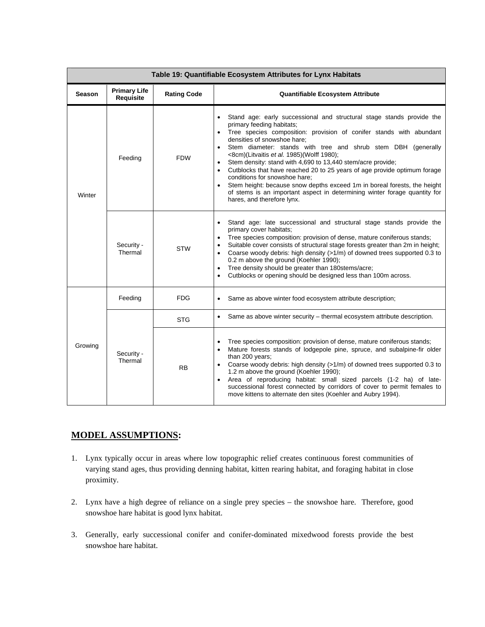| Table 19: Quantifiable Ecosystem Attributes for Lynx Habitats |                                  |                    |                                                                                                                                                                                                                                                                                                                                                                                                                                                                                                                                                                                                                                                                                           |  |  |
|---------------------------------------------------------------|----------------------------------|--------------------|-------------------------------------------------------------------------------------------------------------------------------------------------------------------------------------------------------------------------------------------------------------------------------------------------------------------------------------------------------------------------------------------------------------------------------------------------------------------------------------------------------------------------------------------------------------------------------------------------------------------------------------------------------------------------------------------|--|--|
| Season                                                        | <b>Primary Life</b><br>Requisite | <b>Rating Code</b> | <b>Quantifiable Ecosystem Attribute</b>                                                                                                                                                                                                                                                                                                                                                                                                                                                                                                                                                                                                                                                   |  |  |
| Winter                                                        | Feeding                          | <b>FDW</b>         | Stand age: early successional and structural stage stands provide the<br>primary feeding habitats;<br>Tree species composition: provision of conifer stands with abundant<br>densities of snowshoe hare;<br>Stem diameter: stands with tree and shrub stem DBH (generally<br><8cm)(Litvaitis et al. 1985)(Wolff 1980);<br>Stem density: stand with 4,690 to 13,440 stem/acre provide;<br>Cutblocks that have reached 20 to 25 years of age provide optimum forage<br>conditions for snowshoe hare:<br>Stem height: because snow depths exceed 1m in boreal forests, the height<br>of stems is an important aspect in determining winter forage quantity for<br>hares, and therefore lynx. |  |  |
|                                                               | Security -<br>Thermal            | <b>STW</b>         | Stand age: late successional and structural stage stands provide the<br>$\bullet$<br>primary cover habitats;<br>Tree species composition: provision of dense, mature coniferous stands;<br>Suitable cover consists of structural stage forests greater than 2m in height;<br>Coarse woody debris: high density (>1/m) of downed trees supported 0.3 to<br>0.2 m above the ground (Koehler 1990);<br>Tree density should be greater than 180stems/acre;<br>Cutblocks or opening should be designed less than 100m across.                                                                                                                                                                  |  |  |
|                                                               | Feeding                          | <b>FDG</b>         | Same as above winter food ecosystem attribute description;                                                                                                                                                                                                                                                                                                                                                                                                                                                                                                                                                                                                                                |  |  |
| Growing                                                       |                                  | <b>STG</b>         | Same as above winter security - thermal ecosystem attribute description.                                                                                                                                                                                                                                                                                                                                                                                                                                                                                                                                                                                                                  |  |  |
|                                                               | Security -<br>Thermal            | <b>RB</b>          | Tree species composition: provision of dense, mature coniferous stands;<br>Mature forests stands of lodgepole pine, spruce, and subalpine-fir older<br>$\bullet$<br>than 200 years;<br>Coarse woody debris: high density (>1/m) of downed trees supported 0.3 to<br>1.2 m above the ground (Koehler 1990);<br>Area of reproducing habitat: small sized parcels (1-2 ha) of late-<br>successional forest connected by corridors of cover to permit females to<br>move kittens to alternate den sites (Koehler and Aubry 1994).                                                                                                                                                             |  |  |

# **MODEL ASSUMPTIONS:**

- 1. Lynx typically occur in areas where low topographic relief creates continuous forest communities of varying stand ages, thus providing denning habitat, kitten rearing habitat, and foraging habitat in close proximity.
- 2. Lynx have a high degree of reliance on a single prey species the snowshoe hare. Therefore, good snowshoe hare habitat is good lynx habitat.
- 3. Generally, early successional conifer and conifer-dominated mixedwood forests provide the best snowshoe hare habitat.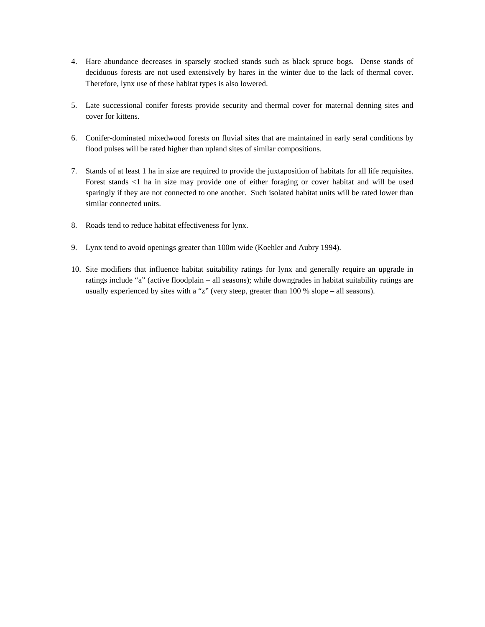- 4. Hare abundance decreases in sparsely stocked stands such as black spruce bogs. Dense stands of deciduous forests are not used extensively by hares in the winter due to the lack of thermal cover. Therefore, lynx use of these habitat types is also lowered.
- 5. Late successional conifer forests provide security and thermal cover for maternal denning sites and cover for kittens.
- 6. Conifer-dominated mixedwood forests on fluvial sites that are maintained in early seral conditions by flood pulses will be rated higher than upland sites of similar compositions.
- 7. Stands of at least 1 ha in size are required to provide the juxtaposition of habitats for all life requisites. Forest stands <1 ha in size may provide one of either foraging or cover habitat and will be used sparingly if they are not connected to one another. Such isolated habitat units will be rated lower than similar connected units.
- 8. Roads tend to reduce habitat effectiveness for lynx.
- 9. Lynx tend to avoid openings greater than 100m wide (Koehler and Aubry 1994).
- 10. Site modifiers that influence habitat suitability ratings for lynx and generally require an upgrade in ratings include "a" (active floodplain – all seasons); while downgrades in habitat suitability ratings are usually experienced by sites with a "z" (very steep, greater than 100 % slope – all seasons).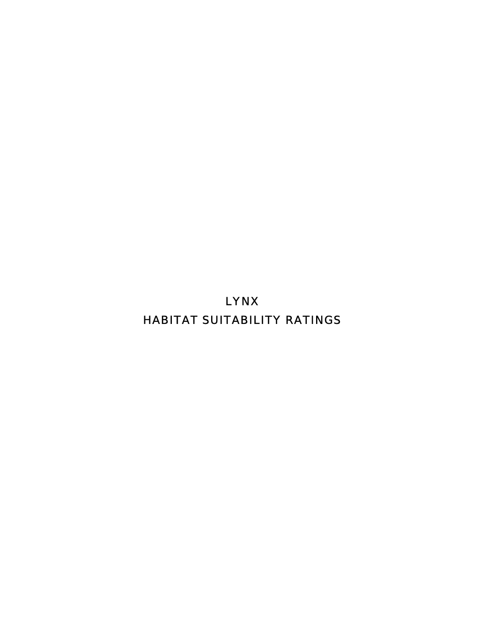LYNX HABITAT SUITABILITY RATINGS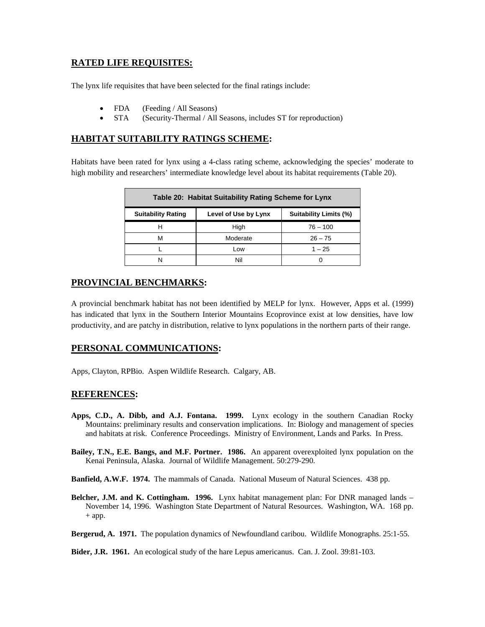# **RATED LIFE REQUISITES:**

The lynx life requisites that have been selected for the final ratings include:

- FDA (Feeding / All Seasons)
- STA (Security-Thermal / All Seasons, includes ST for reproduction)

# **HABITAT SUITABILITY RATINGS SCHEME:**

Habitats have been rated for lynx using a 4-class rating scheme, acknowledging the species' moderate to high mobility and researchers' intermediate knowledge level about its habitat requirements (Table 20).

| Table 20: Habitat Suitability Rating Scheme for Lynx                               |          |            |  |  |  |
|------------------------------------------------------------------------------------|----------|------------|--|--|--|
| <b>Suitability Limits (%)</b><br><b>Suitability Rating</b><br>Level of Use by Lynx |          |            |  |  |  |
|                                                                                    | High     | $76 - 100$ |  |  |  |
| м                                                                                  | Moderate | $26 - 75$  |  |  |  |
|                                                                                    | Low      | $1 - 25$   |  |  |  |
|                                                                                    | Nil      |            |  |  |  |

# **PROVINCIAL BENCHMARKS:**

A provincial benchmark habitat has not been identified by MELP for lynx. However, Apps et al. (1999) has indicated that lynx in the Southern Interior Mountains Ecoprovince exist at low densities, have low productivity, and are patchy in distribution, relative to lynx populations in the northern parts of their range.

# **PERSONAL COMMUNICATIONS:**

Apps, Clayton, RPBio. Aspen Wildlife Research. Calgary, AB.

## **REFERENCES:**

- **Apps, C.D., A. Dibb, and A.J. Fontana. 1999.** Lynx ecology in the southern Canadian Rocky Mountains: preliminary results and conservation implications. In: Biology and management of species and habitats at risk. Conference Proceedings. Ministry of Environment, Lands and Parks. In Press.
- **Bailey, T.N., E.E. Bangs, and M.F. Portner. 1986.** An apparent overexploited lynx population on the Kenai Peninsula, Alaska. Journal of Wildlife Management. 50:279-290.
- **Banfield, A.W.F. 1974.** The mammals of Canada. National Museum of Natural Sciences. 438 pp.
- **Belcher, J.M. and K. Cottingham. 1996.** Lynx habitat management plan: For DNR managed lands November 14, 1996. Washington State Department of Natural Resources. Washington, WA. 168 pp. + app.
- **Bergerud, A. 1971.** The population dynamics of Newfoundland caribou. Wildlife Monographs. 25:1-55.

**Bider, J.R. 1961.** An ecological study of the hare Lepus americanus. Can. J. Zool. 39:81-103.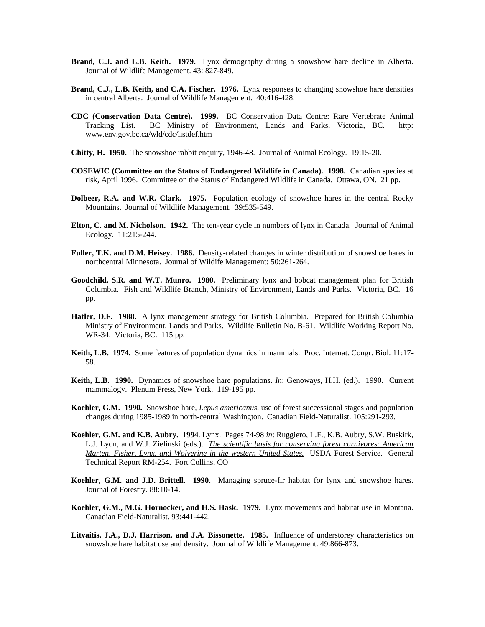- **Brand, C.J. and L.B. Keith. 1979.** Lynx demography during a snowshow hare decline in Alberta. Journal of Wildlife Management. 43: 827-849.
- **Brand, C.J., L.B. Keith, and C.A. Fischer. 1976.** Lynx responses to changing snowshoe hare densities in central Alberta. Journal of Wildlife Management. 40:416-428.
- **CDC (Conservation Data Centre). 1999.** BC Conservation Data Centre: Rare Vertebrate Animal Tracking List. BC Ministry of Environment, Lands and Parks, Victoria, BC. http: www.env.gov.bc.ca/wld/cdc/listdef.htm
- **Chitty, H. 1950.** The snowshoe rabbit enquiry, 1946-48. Journal of Animal Ecology. 19:15-20.
- **COSEWIC (Committee on the Status of Endangered Wildlife in Canada). 1998.** Canadian species at risk, April 1996. Committee on the Status of Endangered Wildlife in Canada. Ottawa, ON. 21 pp.
- **Dolbeer, R.A. and W.R. Clark. 1975.** Population ecology of snowshoe hares in the central Rocky Mountains. Journal of Wildlife Management. 39:535-549.
- **Elton, C. and M. Nicholson. 1942.** The ten-year cycle in numbers of lynx in Canada. Journal of Animal Ecology. 11:215-244.
- **Fuller, T.K. and D.M. Heisey. 1986.** Density-related changes in winter distribution of snowshoe hares in northcentral Minnesota. Journal of Wildife Management: 50:261-264.
- **Goodchild, S.R. and W.T. Munro. 1980.** Preliminary lynx and bobcat management plan for British Columbia. Fish and Wildlife Branch, Ministry of Environment, Lands and Parks. Victoria, BC. 16 pp.
- **Hatler, D.F. 1988.** A lynx management strategy for British Columbia. Prepared for British Columbia Ministry of Environment, Lands and Parks. Wildlife Bulletin No. B-61. Wildlife Working Report No. WR-34. Victoria, BC. 115 pp.
- **Keith, L.B. 1974.** Some features of population dynamics in mammals. Proc. Internat. Congr. Biol. 11:17- 58.
- **Keith, L.B. 1990.** Dynamics of snowshoe hare populations. *In*: Genoways, H.H. (ed.). 1990. Current mammalogy. Plenum Press, New York. 119-195 pp.
- **Koehler, G.M. 1990.** Snowshoe hare, *Lepus americanus*, use of forest successional stages and population changes during 1985-1989 in north-central Washington. Canadian Field-Naturalist. 105:291-293.
- **Koehler, G.M. and K.B. Aubry. 1994**. Lynx. Pages 74-98 *in*: Ruggiero, L.F., K.B. Aubry, S.W. Buskirk, L.J. Lyon, and W.J. Zielinski (eds.). *The scientific basis for conserving forest carnivores: American Marten, Fisher, Lynx, and Wolverine in the western United States.* USDA Forest Service. General Technical Report RM-254. Fort Collins, CO
- **Koehler, G.M. and J.D. Brittell. 1990.** Managing spruce-fir habitat for lynx and snowshoe hares. Journal of Forestry. 88:10-14.
- **Koehler, G.M., M.G. Hornocker, and H.S. Hask. 1979.** Lynx movements and habitat use in Montana. Canadian Field-Naturalist. 93:441-442.
- **Litvaitis, J.A., D.J. Harrison, and J.A. Bissonette. 1985.** Influence of understorey characteristics on snowshoe hare habitat use and density. Journal of Wildlife Management. 49:866-873.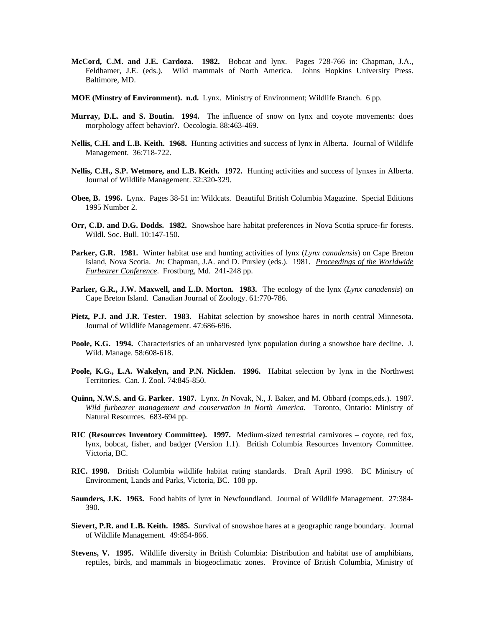- **McCord, C.M. and J.E. Cardoza. 1982.** Bobcat and lynx. Pages 728-766 in: Chapman, J.A., Feldhamer, J.E. (eds.). Wild mammals of North America. Johns Hopkins University Press. Baltimore, MD.
- **MOE (Minstry of Environment). n.d.** Lynx. Ministry of Environment; Wildlife Branch. 6 pp.
- **Murray, D.L. and S. Boutin. 1994.** The influence of snow on lynx and coyote movements: does morphology affect behavior?. Oecologia. 88:463-469.
- **Nellis, C.H. and L.B. Keith. 1968.** Hunting activities and success of lynx in Alberta. Journal of Wildlife Management. 36:718-722.
- **Nellis, C.H., S.P. Wetmore, and L.B. Keith. 1972.** Hunting activities and success of lynxes in Alberta. Journal of Wildlife Management. 32:320-329.
- **Obee, B. 1996.** Lynx. Pages 38-51 in: Wildcats. Beautiful British Columbia Magazine. Special Editions 1995 Number 2.
- **Orr, C.D. and D.G. Dodds. 1982.** Snowshoe hare habitat preferences in Nova Scotia spruce-fir forests. Wildl. Soc. Bull. 10:147-150.
- **Parker, G.R. 1981.** Winter habitat use and hunting activities of lynx (*Lynx canadensis*) on Cape Breton Island, Nova Scotia. *In:* Chapman, J.A. and D. Pursley (eds.). 1981. *Proceedings of the Worldwide Furbearer Conference*. Frostburg, Md. 241-248 pp.
- **Parker, G.R., J.W. Maxwell, and L.D. Morton. 1983.** The ecology of the lynx (*Lynx canadensis*) on Cape Breton Island. Canadian Journal of Zoology. 61:770-786.
- **Pietz, P.J. and J.R. Tester. 1983.** Habitat selection by snowshoe hares in north central Minnesota. Journal of Wildlife Management. 47:686-696.
- **Poole, K.G. 1994.** Characteristics of an unharvested lynx population during a snowshoe hare decline. J. Wild. Manage. 58:608-618.
- **Poole, K.G., L.A. Wakelyn, and P.N. Nicklen. 1996.** Habitat selection by lynx in the Northwest Territories. Can. J. Zool. 74:845-850.
- **Quinn, N.W.S. and G. Parker. 1987.** Lynx. *In* Novak, N., J. Baker, and M. Obbard (comps,eds.). 1987. *Wild furbearer management and conservation in North America*. Toronto, Ontario: Ministry of Natural Resources. 683-694 pp.
- **RIC (Resources Inventory Committee). 1997.** Medium-sized terrestrial carnivores coyote, red fox, lynx, bobcat, fisher, and badger (Version 1.1). British Columbia Resources Inventory Committee. Victoria, BC.
- **RIC. 1998.** British Columbia wildlife habitat rating standards. Draft April 1998. BC Ministry of Environment, Lands and Parks, Victoria, BC. 108 pp.
- **Saunders, J.K. 1963.** Food habits of lynx in Newfoundland. Journal of Wildlife Management. 27:384- 390.
- **Sievert, P.R. and L.B. Keith. 1985.** Survival of snowshoe hares at a geographic range boundary. Journal of Wildlife Management. 49:854-866.
- **Stevens, V. 1995.** Wildlife diversity in British Columbia: Distribution and habitat use of amphibians, reptiles, birds, and mammals in biogeoclimatic zones. Province of British Columbia, Ministry of